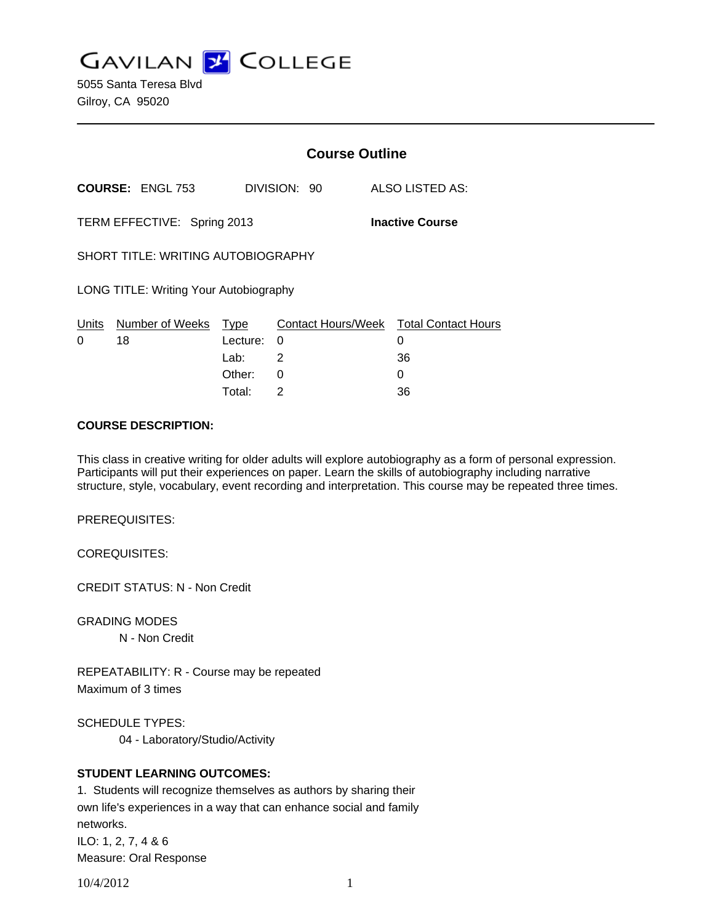**GAVILAN Z COLLEGE** 

5055 Santa Teresa Blvd Gilroy, CA 95020

|                                                       |                         | <b>Course Outline</b> |              |  |                                             |
|-------------------------------------------------------|-------------------------|-----------------------|--------------|--|---------------------------------------------|
|                                                       | <b>COURSE: ENGL 753</b> |                       | DIVISION: 90 |  | ALSO LISTED AS:                             |
| TERM EFFECTIVE: Spring 2013<br><b>Inactive Course</b> |                         |                       |              |  |                                             |
| <b>SHORT TITLE: WRITING AUTOBIOGRAPHY</b>             |                         |                       |              |  |                                             |
| LONG TITLE: Writing Your Autobiography                |                         |                       |              |  |                                             |
| Units<br>$\Omega$                                     | Number of Weeks<br>18   | Type<br>Lecture:      | 0            |  | Contact Hours/Week Total Contact Hours<br>0 |
|                                                       |                         | Lab:                  | 2            |  | 36                                          |
|                                                       |                         | Other:                | 0            |  | 0                                           |

Total: 2 36

#### **COURSE DESCRIPTION:**

This class in creative writing for older adults will explore autobiography as a form of personal expression. Participants will put their experiences on paper. Learn the skills of autobiography including narrative structure, style, vocabulary, event recording and interpretation. This course may be repeated three times.

PREREQUISITES:

COREQUISITES:

CREDIT STATUS: N - Non Credit

GRADING MODES

N - Non Credit

REPEATABILITY: R - Course may be repeated Maximum of 3 times

SCHEDULE TYPES:

04 - Laboratory/Studio/Activity

### **STUDENT LEARNING OUTCOMES:**

1. Students will recognize themselves as authors by sharing their own life's experiences in a way that can enhance social and family networks. ILO: 1, 2, 7, 4 & 6 Measure: Oral Response

10/4/2012 1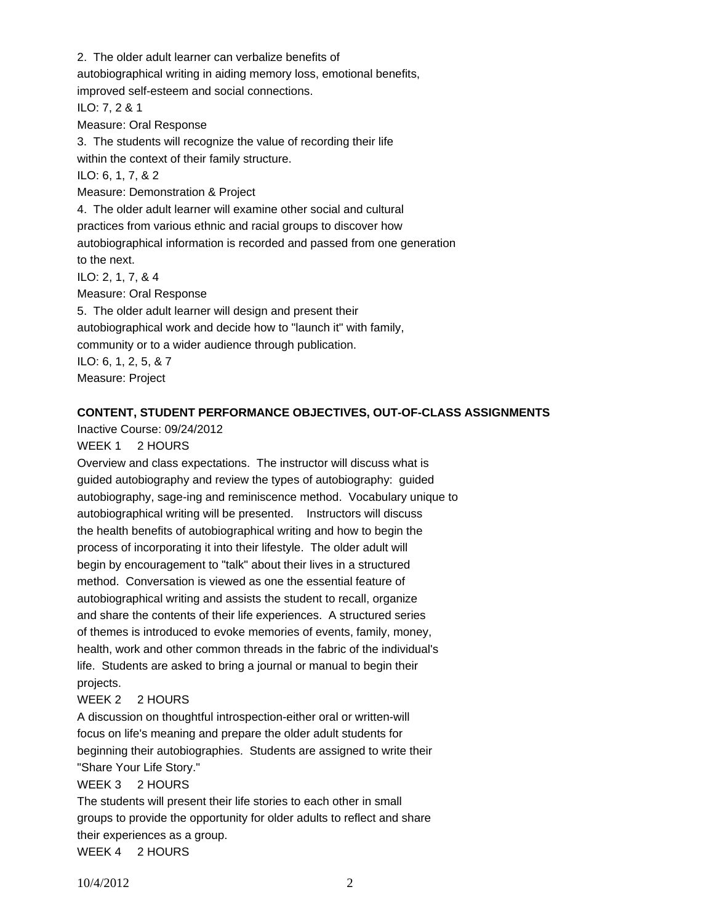2. The older adult learner can verbalize benefits of

autobiographical writing in aiding memory loss, emotional benefits,

improved self-esteem and social connections.

ILO: 7, 2 & 1

Measure: Oral Response

3. The students will recognize the value of recording their life within the context of their family structure.

ILO: 6, 1, 7, & 2

Measure: Demonstration & Project

4. The older adult learner will examine other social and cultural practices from various ethnic and racial groups to discover how autobiographical information is recorded and passed from one generation to the next.

ILO: 2, 1, 7, & 4

Measure: Oral Response

5. The older adult learner will design and present their autobiographical work and decide how to "launch it" with family, community or to a wider audience through publication. ILO: 6, 1, 2, 5, & 7 Measure: Project

# **CONTENT, STUDENT PERFORMANCE OBJECTIVES, OUT-OF-CLASS ASSIGNMENTS**

Inactive Course: 09/24/2012

### WEEK 1 2 HOURS

Overview and class expectations. The instructor will discuss what is guided autobiography and review the types of autobiography: guided autobiography, sage-ing and reminiscence method. Vocabulary unique to autobiographical writing will be presented. Instructors will discuss the health benefits of autobiographical writing and how to begin the process of incorporating it into their lifestyle. The older adult will begin by encouragement to "talk" about their lives in a structured method. Conversation is viewed as one the essential feature of autobiographical writing and assists the student to recall, organize and share the contents of their life experiences. A structured series of themes is introduced to evoke memories of events, family, money, health, work and other common threads in the fabric of the individual's life. Students are asked to bring a journal or manual to begin their projects.

### WEEK 2 2 HOURS

A discussion on thoughtful introspection-either oral or written-will focus on life's meaning and prepare the older adult students for beginning their autobiographies. Students are assigned to write their "Share Your Life Story."

# WEEK 3 2 HOURS

The students will present their life stories to each other in small groups to provide the opportunity for older adults to reflect and share their experiences as a group. WEEK 4 2 HOURS

10/4/2012 2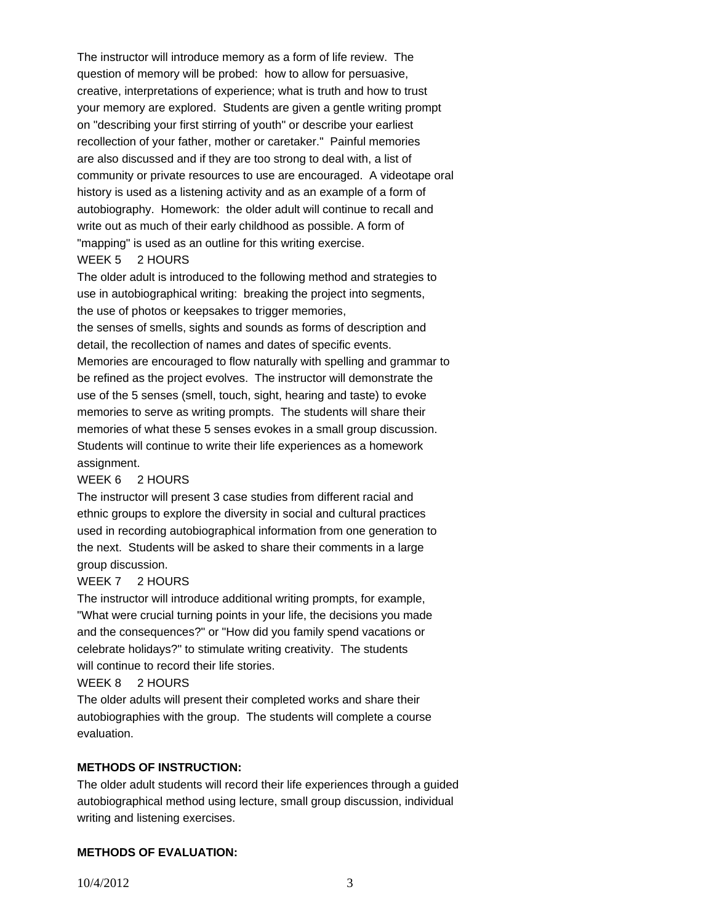The instructor will introduce memory as a form of life review. The question of memory will be probed: how to allow for persuasive, creative, interpretations of experience; what is truth and how to trust your memory are explored. Students are given a gentle writing prompt on "describing your first stirring of youth" or describe your earliest recollection of your father, mother or caretaker." Painful memories are also discussed and if they are too strong to deal with, a list of community or private resources to use are encouraged. A videotape oral history is used as a listening activity and as an example of a form of autobiography. Homework: the older adult will continue to recall and write out as much of their early childhood as possible. A form of "mapping" is used as an outline for this writing exercise.

#### WEEK 5 2 HOURS

The older adult is introduced to the following method and strategies to use in autobiographical writing: breaking the project into segments, the use of photos or keepsakes to trigger memories,

the senses of smells, sights and sounds as forms of description and detail, the recollection of names and dates of specific events. Memories are encouraged to flow naturally with spelling and grammar to be refined as the project evolves. The instructor will demonstrate the use of the 5 senses (smell, touch, sight, hearing and taste) to evoke memories to serve as writing prompts. The students will share their memories of what these 5 senses evokes in a small group discussion. Students will continue to write their life experiences as a homework assignment.

### WEEK 6 2 HOURS

The instructor will present 3 case studies from different racial and ethnic groups to explore the diversity in social and cultural practices used in recording autobiographical information from one generation to the next. Students will be asked to share their comments in a large group discussion.

### WEEK 7 2 HOURS

The instructor will introduce additional writing prompts, for example, "What were crucial turning points in your life, the decisions you made and the consequences?" or "How did you family spend vacations or celebrate holidays?" to stimulate writing creativity. The students will continue to record their life stories.

# WEEK 8 2 HOURS

The older adults will present their completed works and share their autobiographies with the group. The students will complete a course evaluation.

### **METHODS OF INSTRUCTION:**

The older adult students will record their life experiences through a guided autobiographical method using lecture, small group discussion, individual writing and listening exercises.

### **METHODS OF EVALUATION:**